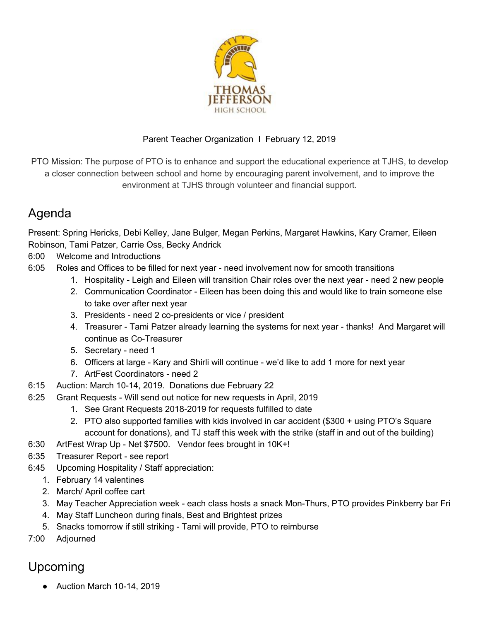

## Parent Teacher Organization I February 12, 2019

PTO Mission: The purpose of PTO is to enhance and support the educational experience at TJHS, to develop a closer connection between school and home by encouraging parent involvement, and to improve the environment at TJHS through volunteer and financial support.

## Agenda

Present: Spring Hericks, Debi Kelley, Jane Bulger, Megan Perkins, Margaret Hawkins, Kary Cramer, Eileen Robinson, Tami Patzer, Carrie Oss, Becky Andrick

- 6:00 Welcome and Introductions
- 6:05 Roles and Offices to be filled for next year need involvement now for smooth transitions
	- 1. Hospitality Leigh and Eileen will transition Chair roles over the next year need 2 new people
		- 2. Communication Coordinator Eileen has been doing this and would like to train someone else to take over after next year
		- 3. Presidents need 2 co-presidents or vice / president
		- 4. Treasurer Tami Patzer already learning the systems for next year thanks! And Margaret will continue as Co-Treasurer
		- 5. Secretary need 1
		- 6. Officers at large Kary and Shirli will continue we'd like to add 1 more for next year
		- 7. ArtFest Coordinators need 2
- 6:15 Auction: March 10-14, 2019. Donations due February 22
- 6:25 Grant Requests Will send out notice for new requests in April, 2019
	- 1. See Grant Requests 2018-2019 for requests fulfilled to date
		- 2. PTO also supported families with kids involved in car accident (\$300 + using PTO's Square account for donations), and TJ staff this week with the strike (staff in and out of the building)
- 6:30 ArtFest Wrap Up Net \$7500. Vendor fees brought in 10K+!
- 6:35 Treasurer Report see report
- 6:45 Upcoming Hospitality / Staff appreciation:
	- 1. February 14 valentines
	- 2. March/ April coffee cart
	- 3. May Teacher Appreciation week each class hosts a snack Mon-Thurs, PTO provides Pinkberry bar Fri
	- 4. May Staff Luncheon during finals, Best and Brightest prizes
	- 5. Snacks tomorrow if still striking Tami will provide, PTO to reimburse
- 7:00 Adjourned

## Upcoming

● Auction March 10-14, 2019